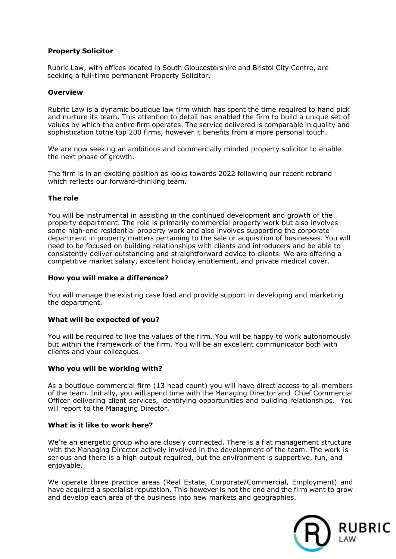# **Property Solicitor**

Rubric Law, with offices located in South Gloucestershire and Bristol City Centre, are seeking a full-time permanent Property Solicitor.

## **Overview**

Rubric Law is a dynamic boutique law firm which has spent the time required to hand pick and nurture its team. This attention to detail has enabled the firm to build a unique set of values by which the entire firm operates. The service delivered is comparable in quality and sophistication tothe top 200 firms, however it benefits from a more personal touch.

We are now seeking an ambitious and commercially minded property solicitor to enable the next phase of growth.

The firm is in an exciting position as looks towards 2022 following our recent rebrand which reflects our forward-thinking team.

#### **The role**

You will be instrumental in assisting in the continued development and growth of the property department. The role is primarily commercial property work but also involves some high-end residential property work and also involves supporting the corporate department in property matters pertaining to the sale or acquisition of businesses. You will need to be focused on building relationships with clients and introducers and be able to consistently deliver outstanding and straightforward advice to clients. We are offering a competitive market salary, excellent holiday entitlement, and private medical cover.

#### **How you will make a difference?**

You will manage the existing case load and provide support in developing and marketing the department.

## **What will be expected of you?**

You will be required to live the values of the firm. You will be happy to work autonomously but within the framework of the firm. You will be an excellent communicator both with clients and your colleagues.

## **Who you will be working with?**

As a boutique commercial firm (13 head count) you will have direct access to all members of the team. Initially, you will spend time with the Managing Director and Chief Commercial Officer delivering client services, identifying opportunities and building relationships. You will report to the Managing Director.

#### **What is it like to work here?**

We're an energetic group who are closely connected. There is a flat management structure with the Managing Director actively involved in the development of the team. The work is serious and there is a high output required, but the environment is supportive, fun, and enjoyable.

We operate three practice areas (Real Estate, Corporate/Commercial, Employment) and have acquired a specialist reputation. This however is not the end and the firm want to grow and develop each area of the business into new markets and geographies.